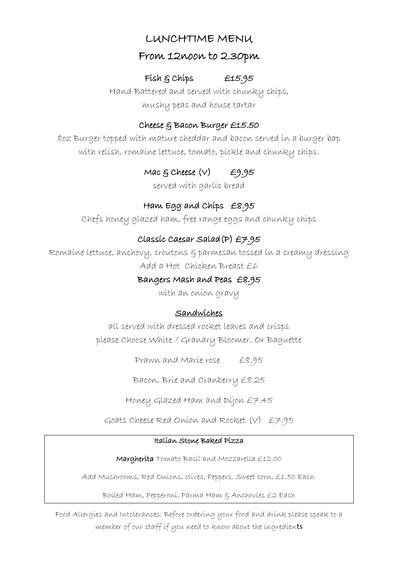## LUNCHTIME MENU

### From 12noon to 2.30pm

### Fish & Chips £15.95

Hand Battered and served with chunky chips, mushy peas and house tartar

### Cheese & Bacon Burger £15.50

8oz Burger topped with mature cheddar and bacon served in a burger bap with relish, romaine lettuce, tomato, pickle and chunky chips.

# Mac  $\xi$  Cheese  $(v)$   $\qquad$   $\neq$ 9.95

served with garlic bread

## Ham Egg and Chips £8.95

Chefs honey glazed ham, free range eggs and chunky chips

## Classic Caesar Salad(P) £7.95

Romaine lettuce, anchovy, croutons & parmesan tossed in a creamy dressing Add a Hot Chicken Breast £6

### Bangers Mash and Peas £8.95

with an onion gravy

## Sandwiches

all served with dressed rocket leaves and crisps please Choose White / Granary Bloomer. Or Baguette

Prawn and Marie rose £8.95

Bacon, Brie and Cranberry £8.25

Honey Glazed Ham and Dijon £7.45

Goats Cheese Red Onion and Rocket (V) £7.95

#### Italian Stone Baked Pizza

Margherita Tomato Basil and Mozzarella £12.00

Add Mushrooms, Red Onions, olives, Peppers, Sweet corn, £1.50 Each.

Boiled Ham, Pepperoni, Parma Ham & Anchovies £2 Each

Food Allergies and Intolerances: Before ordering your food and drink please speak to a member of our staff if you need to know about the ingredients